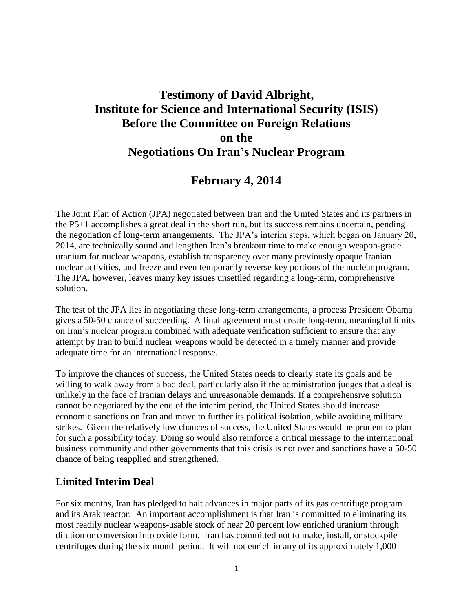# **Testimony of David Albright, Institute for Science and International Security (ISIS) Before the Committee on Foreign Relations on the Negotiations On Iran's Nuclear Program**

# **February 4, 2014**

The Joint Plan of Action (JPA) negotiated between Iran and the United States and its partners in the P5+1 accomplishes a great deal in the short run, but its success remains uncertain, pending the negotiation of long-term arrangements. The JPA's interim steps, which began on January 20, 2014, are technically sound and lengthen Iran's breakout time to make enough weapon-grade uranium for nuclear weapons, establish transparency over many previously opaque Iranian nuclear activities, and freeze and even temporarily reverse key portions of the nuclear program. The JPA, however, leaves many key issues unsettled regarding a long-term, comprehensive solution.

The test of the JPA lies in negotiating these long-term arrangements, a process President Obama gives a 50-50 chance of succeeding. A final agreement must create long-term, meaningful limits on Iran's nuclear program combined with adequate verification sufficient to ensure that any attempt by Iran to build nuclear weapons would be detected in a timely manner and provide adequate time for an international response.

To improve the chances of success, the United States needs to clearly state its goals and be willing to walk away from a bad deal, particularly also if the administration judges that a deal is unlikely in the face of Iranian delays and unreasonable demands. If a comprehensive solution cannot be negotiated by the end of the interim period, the United States should increase economic sanctions on Iran and move to further its political isolation, while avoiding military strikes. Given the relatively low chances of success, the United States would be prudent to plan for such a possibility today. Doing so would also reinforce a critical message to the international business community and other governments that this crisis is not over and sanctions have a 50-50 chance of being reapplied and strengthened.

#### **Limited Interim Deal**

For six months, Iran has pledged to halt advances in major parts of its gas centrifuge program and its Arak reactor. An important accomplishment is that Iran is committed to eliminating its most readily nuclear weapons-usable stock of near 20 percent low enriched uranium through dilution or conversion into oxide form. Iran has committed not to make, install, or stockpile centrifuges during the six month period. It will not enrich in any of its approximately 1,000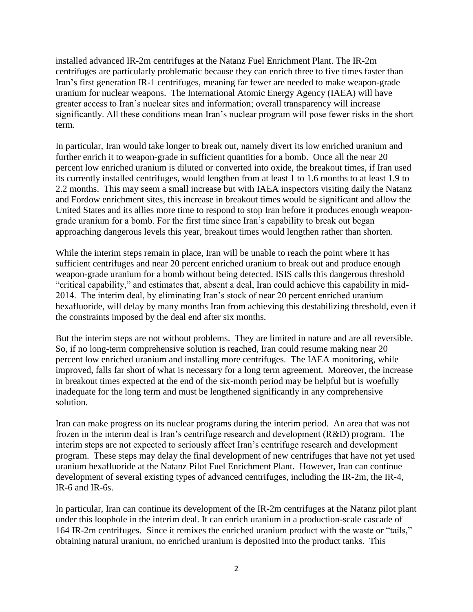installed advanced IR-2m centrifuges at the Natanz Fuel Enrichment Plant. The IR-2m centrifuges are particularly problematic because they can enrich three to five times faster than Iran's first generation IR-1 centrifuges, meaning far fewer are needed to make weapon-grade uranium for nuclear weapons. The International Atomic Energy Agency (IAEA) will have greater access to Iran's nuclear sites and information; overall transparency will increase significantly. All these conditions mean Iran's nuclear program will pose fewer risks in the short term.

In particular, Iran would take longer to break out, namely divert its low enriched uranium and further enrich it to weapon-grade in sufficient quantities for a bomb. Once all the near 20 percent low enriched uranium is diluted or converted into oxide, the breakout times, if Iran used its currently installed centrifuges, would lengthen from at least 1 to 1.6 months to at least 1.9 to 2.2 months. This may seem a small increase but with IAEA inspectors visiting daily the Natanz and Fordow enrichment sites, this increase in breakout times would be significant and allow the United States and its allies more time to respond to stop Iran before it produces enough weapongrade uranium for a bomb. For the first time since Iran's capability to break out began approaching dangerous levels this year, breakout times would lengthen rather than shorten.

While the interim steps remain in place, Iran will be unable to reach the point where it has sufficient centrifuges and near 20 percent enriched uranium to break out and produce enough weapon-grade uranium for a bomb without being detected. ISIS calls this dangerous threshold "critical capability," and estimates that, absent a deal, Iran could achieve this capability in mid-2014. The interim deal, by eliminating Iran's stock of near 20 percent enriched uranium hexafluoride, will delay by many months Iran from achieving this destabilizing threshold, even if the constraints imposed by the deal end after six months.

But the interim steps are not without problems. They are limited in nature and are all reversible. So, if no long-term comprehensive solution is reached, Iran could resume making near 20 percent low enriched uranium and installing more centrifuges. The IAEA monitoring, while improved, falls far short of what is necessary for a long term agreement. Moreover, the increase in breakout times expected at the end of the six-month period may be helpful but is woefully inadequate for the long term and must be lengthened significantly in any comprehensive solution.

Iran can make progress on its nuclear programs during the interim period. An area that was not frozen in the interim deal is Iran's centrifuge research and development (R&D) program. The interim steps are not expected to seriously affect Iran's centrifuge research and development program. These steps may delay the final development of new centrifuges that have not yet used uranium hexafluoride at the Natanz Pilot Fuel Enrichment Plant. However, Iran can continue development of several existing types of advanced centrifuges, including the IR-2m, the IR-4, IR-6 and IR-6s.

In particular, Iran can continue its development of the IR-2m centrifuges at the Natanz pilot plant under this loophole in the interim deal. It can enrich uranium in a production-scale cascade of 164 IR-2m centrifuges. Since it remixes the enriched uranium product with the waste or "tails," obtaining natural uranium, no enriched uranium is deposited into the product tanks. This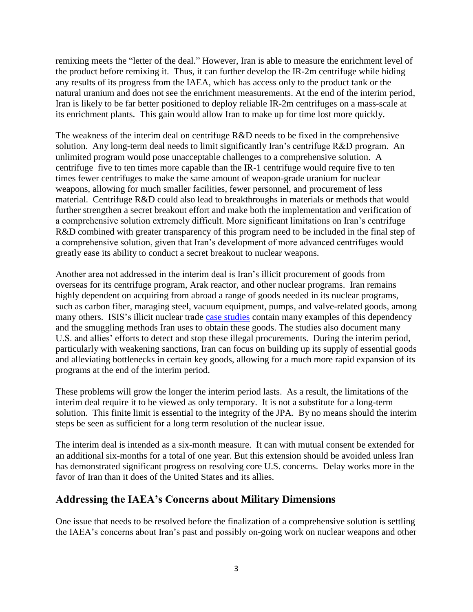remixing meets the "letter of the deal." However, Iran is able to measure the enrichment level of the product before remixing it. Thus, it can further develop the IR-2m centrifuge while hiding any results of its progress from the IAEA, which has access only to the product tank or the natural uranium and does not see the enrichment measurements. At the end of the interim period, Iran is likely to be far better positioned to deploy reliable IR-2m centrifuges on a mass-scale at its enrichment plants. This gain would allow Iran to make up for time lost more quickly.

The weakness of the interim deal on centrifuge R&D needs to be fixed in the comprehensive solution. Any long-term deal needs to limit significantly Iran's centrifuge R&D program. An unlimited program would pose unacceptable challenges to a comprehensive solution. A centrifuge five to ten times more capable than the IR-1 centrifuge would require five to ten times fewer centrifuges to make the same amount of weapon-grade uranium for nuclear weapons, allowing for much smaller facilities, fewer personnel, and procurement of less material. Centrifuge R&D could also lead to breakthroughs in materials or methods that would further strengthen a secret breakout effort and make both the implementation and verification of a comprehensive solution extremely difficult. More significant limitations on Iran's centrifuge R&D combined with greater transparency of this program need to be included in the final step of a comprehensive solution, given that Iran's development of more advanced centrifuges would greatly ease its ability to conduct a secret breakout to nuclear weapons.

Another area not addressed in the interim deal is Iran's illicit procurement of goods from overseas for its centrifuge program, Arak reactor, and other nuclear programs. Iran remains highly dependent on acquiring from abroad a range of goods needed in its nuclear programs, such as carbon fiber, maraging steel, vacuum equipment, pumps, and valve-related goods, among many others. ISIS's illicit nuclear trade [case studies](http://isis-online.org/studies/category/illicit-trade/) contain many examples of this dependency and the smuggling methods Iran uses to obtain these goods. The studies also document many U.S. and allies' efforts to detect and stop these illegal procurements. During the interim period, particularly with weakening sanctions, Iran can focus on building up its supply of essential goods and alleviating bottlenecks in certain key goods, allowing for a much more rapid expansion of its programs at the end of the interim period.

These problems will grow the longer the interim period lasts. As a result, the limitations of the interim deal require it to be viewed as only temporary. It is not a substitute for a long-term solution. This finite limit is essential to the integrity of the JPA. By no means should the interim steps be seen as sufficient for a long term resolution of the nuclear issue.

The interim deal is intended as a six-month measure. It can with mutual consent be extended for an additional six-months for a total of one year. But this extension should be avoided unless Iran has demonstrated significant progress on resolving core U.S. concerns. Delay works more in the favor of Iran than it does of the United States and its allies.

#### **Addressing the IAEA's Concerns about Military Dimensions**

One issue that needs to be resolved before the finalization of a comprehensive solution is settling the IAEA's concerns about Iran's past and possibly on-going work on nuclear weapons and other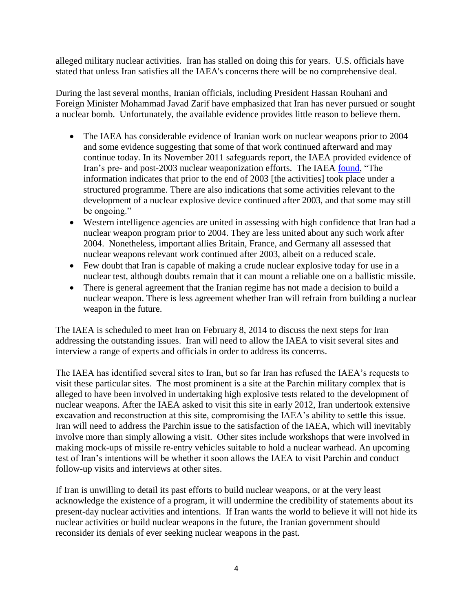alleged military nuclear activities. Iran has stalled on doing this for years. U.S. officials have stated that unless Iran satisfies all the IAEA's concerns there will be no comprehensive deal.

During the last several months, Iranian officials, including President Hassan Rouhani and Foreign Minister Mohammad Javad Zarif have emphasized that Iran has never pursued or sought a nuclear bomb. Unfortunately, the available evidence provides little reason to believe them.

- The IAEA has considerable evidence of Iranian work on nuclear weapons prior to 2004 and some evidence suggesting that some of that work continued afterward and may continue today. In its November 2011 safeguards report, the IAEA provided evidence of Iran's pre- and post-2003 nuclear weaponization efforts. The IAEA [found,](http://isis-online.org/uploads/isis-reports/documents/IAEA_Iran_8Nov2011.pdf) "The information indicates that prior to the end of 2003 [the activities] took place under a structured programme. There are also indications that some activities relevant to the development of a nuclear explosive device continued after 2003, and that some may still be ongoing."
- Western intelligence agencies are united in assessing with high confidence that Iran had a nuclear weapon program prior to 2004. They are less united about any such work after 2004. Nonetheless, important allies Britain, France, and Germany all assessed that nuclear weapons relevant work continued after 2003, albeit on a reduced scale.
- Few doubt that Iran is capable of making a crude nuclear explosive today for use in a nuclear test, although doubts remain that it can mount a reliable one on a ballistic missile.
- There is general agreement that the Iranian regime has not made a decision to build a nuclear weapon. There is less agreement whether Iran will refrain from building a nuclear weapon in the future.

The IAEA is scheduled to meet Iran on February 8, 2014 to discuss the next steps for Iran addressing the outstanding issues. Iran will need to allow the IAEA to visit several sites and interview a range of experts and officials in order to address its concerns.

The IAEA has identified several sites to Iran, but so far Iran has refused the IAEA's requests to visit these particular sites. The most prominent is a site at the Parchin military complex that is alleged to have been involved in undertaking high explosive tests related to the development of nuclear weapons. After the IAEA asked to visit this site in early 2012, Iran undertook extensive excavation and reconstruction at this site, compromising the IAEA's ability to settle this issue. Iran will need to address the Parchin issue to the satisfaction of the IAEA, which will inevitably involve more than simply allowing a visit. Other sites include workshops that were involved in making mock-ups of missile re-entry vehicles suitable to hold a nuclear warhead. An upcoming test of Iran's intentions will be whether it soon allows the IAEA to visit Parchin and conduct follow-up visits and interviews at other sites.

If Iran is unwilling to detail its past efforts to build nuclear weapons, or at the very least acknowledge the existence of a program, it will undermine the credibility of statements about its present-day nuclear activities and intentions. If Iran wants the world to believe it will not hide its nuclear activities or build nuclear weapons in the future, the Iranian government should reconsider its denials of ever seeking nuclear weapons in the past.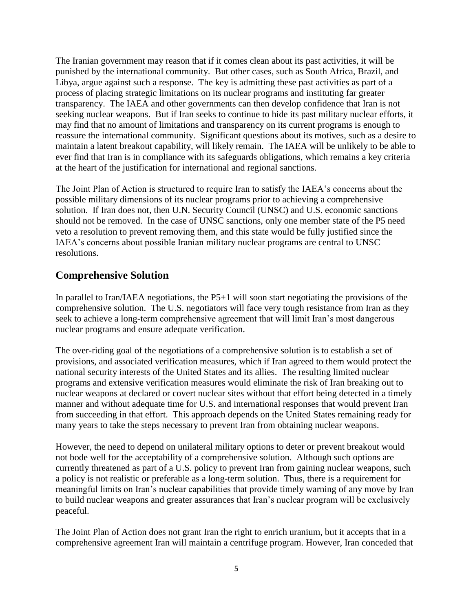The Iranian government may reason that if it comes clean about its past activities, it will be punished by the international community. But other cases, such as South Africa, Brazil, and Libya, argue against such a response. The key is admitting these past activities as part of a process of placing strategic limitations on its nuclear programs and instituting far greater transparency. The IAEA and other governments can then develop confidence that Iran is not seeking nuclear weapons. But if Iran seeks to continue to hide its past military nuclear efforts, it may find that no amount of limitations and transparency on its current programs is enough to reassure the international community. Significant questions about its motives, such as a desire to maintain a latent breakout capability, will likely remain. The IAEA will be unlikely to be able to ever find that Iran is in compliance with its safeguards obligations, which remains a key criteria at the heart of the justification for international and regional sanctions.

The Joint Plan of Action is structured to require Iran to satisfy the IAEA's concerns about the possible military dimensions of its nuclear programs prior to achieving a comprehensive solution. If Iran does not, then U.N. Security Council (UNSC) and U.S. economic sanctions should not be removed. In the case of UNSC sanctions, only one member state of the P5 need veto a resolution to prevent removing them, and this state would be fully justified since the IAEA's concerns about possible Iranian military nuclear programs are central to UNSC resolutions.

## **Comprehensive Solution**

In parallel to Iran/IAEA negotiations, the P5+1 will soon start negotiating the provisions of the comprehensive solution. The U.S. negotiators will face very tough resistance from Iran as they seek to achieve a long-term comprehensive agreement that will limit Iran's most dangerous nuclear programs and ensure adequate verification.

The over-riding goal of the negotiations of a comprehensive solution is to establish a set of provisions, and associated verification measures, which if Iran agreed to them would protect the national security interests of the United States and its allies. The resulting limited nuclear programs and extensive verification measures would eliminate the risk of Iran breaking out to nuclear weapons at declared or covert nuclear sites without that effort being detected in a timely manner and without adequate time for U.S. and international responses that would prevent Iran from succeeding in that effort. This approach depends on the United States remaining ready for many years to take the steps necessary to prevent Iran from obtaining nuclear weapons.

However, the need to depend on unilateral military options to deter or prevent breakout would not bode well for the acceptability of a comprehensive solution. Although such options are currently threatened as part of a U.S. policy to prevent Iran from gaining nuclear weapons, such a policy is not realistic or preferable as a long-term solution. Thus, there is a requirement for meaningful limits on Iran's nuclear capabilities that provide timely warning of any move by Iran to build nuclear weapons and greater assurances that Iran's nuclear program will be exclusively peaceful.

The Joint Plan of Action does not grant Iran the right to enrich uranium, but it accepts that in a comprehensive agreement Iran will maintain a centrifuge program. However, Iran conceded that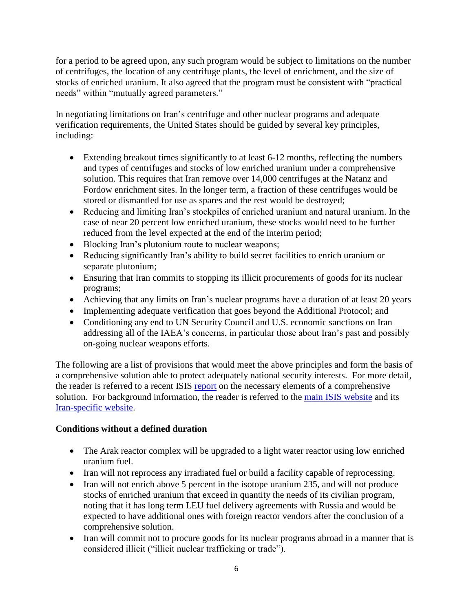for a period to be agreed upon, any such program would be subject to limitations on the number of centrifuges, the location of any centrifuge plants, the level of enrichment, and the size of stocks of enriched uranium. It also agreed that the program must be consistent with "practical needs" within "mutually agreed parameters."

In negotiating limitations on Iran's centrifuge and other nuclear programs and adequate verification requirements, the United States should be guided by several key principles, including:

- Extending breakout times significantly to at least 6-12 months, reflecting the numbers and types of centrifuges and stocks of low enriched uranium under a comprehensive solution. This requires that Iran remove over 14,000 centrifuges at the Natanz and Fordow enrichment sites. In the longer term, a fraction of these centrifuges would be stored or dismantled for use as spares and the rest would be destroyed;
- Reducing and limiting Iran's stockpiles of enriched uranium and natural uranium. In the case of near 20 percent low enriched uranium, these stocks would need to be further reduced from the level expected at the end of the interim period;
- Blocking Iran's plutonium route to nuclear weapons;
- Reducing significantly Iran's ability to build secret facilities to enrich uranium or separate plutonium;
- Ensuring that Iran commits to stopping its illicit procurements of goods for its nuclear programs;
- Achieving that any limits on Iran's nuclear programs have a duration of at least 20 years
- Implementing adequate verification that goes beyond the Additional Protocol; and
- Conditioning any end to UN Security Council and U.S. economic sanctions on Iran addressing all of the IAEA's concerns, in particular those about Iran's past and possibly on-going nuclear weapons efforts.

The following are a list of provisions that would meet the above principles and form the basis of a comprehensive solution able to protect adequately national security interests. For more detail, the reader is referred to a recent ISIS [report](http://isis-online.org/uploads/isis-reports/documents/Elements_of_a_Comprehensive_Solution_20Jan2014_1.pdf) on the necessary elements of a comprehensive solution. For background information, the reader is referred to the [main ISIS website](http://isis-online.org/isis-reports/detail/the-rocky-path-to-a-long-term-settlement-with-iran/) and its [Iran-specific website.](http://isisnucleariran.org/)

#### **Conditions without a defined duration**

- The Arak reactor complex will be upgraded to a light water reactor using low enriched uranium fuel.
- Iran will not reprocess any irradiated fuel or build a facility capable of reprocessing.
- Iran will not enrich above 5 percent in the isotope uranium 235, and will not produce stocks of enriched uranium that exceed in quantity the needs of its civilian program, noting that it has long term LEU fuel delivery agreements with Russia and would be expected to have additional ones with foreign reactor vendors after the conclusion of a comprehensive solution.
- Iran will commit not to procure goods for its nuclear programs abroad in a manner that is considered illicit ("illicit nuclear trafficking or trade").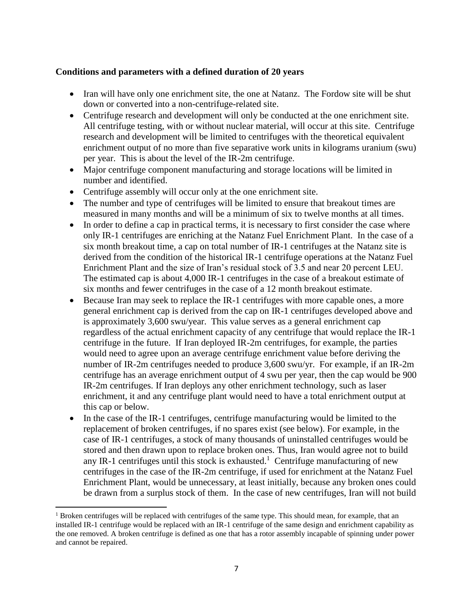#### **Conditions and parameters with a defined duration of 20 years**

- Iran will have only one enrichment site, the one at Natanz. The Fordow site will be shut down or converted into a non-centrifuge-related site.
- Centrifuge research and development will only be conducted at the one enrichment site. All centrifuge testing, with or without nuclear material, will occur at this site. Centrifuge research and development will be limited to centrifuges with the theoretical equivalent enrichment output of no more than five separative work units in kilograms uranium (swu) per year. This is about the level of the IR-2m centrifuge.
- Major centrifuge component manufacturing and storage locations will be limited in number and identified.
- Centrifuge assembly will occur only at the one enrichment site.
- The number and type of centrifuges will be limited to ensure that breakout times are measured in many months and will be a minimum of six to twelve months at all times.
- In order to define a cap in practical terms, it is necessary to first consider the case where only IR-1 centrifuges are enriching at the Natanz Fuel Enrichment Plant. In the case of a six month breakout time, a cap on total number of IR-1 centrifuges at the Natanz site is derived from the condition of the historical IR-1 centrifuge operations at the Natanz Fuel Enrichment Plant and the size of Iran's residual stock of 3.5 and near 20 percent LEU. The estimated cap is about 4,000 IR-1 centrifuges in the case of a breakout estimate of six months and fewer centrifuges in the case of a 12 month breakout estimate.
- Because Iran may seek to replace the IR-1 centrifuges with more capable ones, a more general enrichment cap is derived from the cap on IR-1 centrifuges developed above and is approximately 3,600 swu/year. This value serves as a general enrichment cap regardless of the actual enrichment capacity of any centrifuge that would replace the IR-1 centrifuge in the future. If Iran deployed IR-2m centrifuges, for example, the parties would need to agree upon an average centrifuge enrichment value before deriving the number of IR-2m centrifuges needed to produce 3,600 swu/yr. For example, if an IR-2m centrifuge has an average enrichment output of 4 swu per year, then the cap would be 900 IR-2m centrifuges. If Iran deploys any other enrichment technology, such as laser enrichment, it and any centrifuge plant would need to have a total enrichment output at this cap or below.
- In the case of the IR-1 centrifuges, centrifuge manufacturing would be limited to the replacement of broken centrifuges, if no spares exist (see below). For example, in the case of IR-1 centrifuges, a stock of many thousands of uninstalled centrifuges would be stored and then drawn upon to replace broken ones. Thus, Iran would agree not to build any IR-1 centrifuges until this stock is exhausted.<sup>1</sup> Centrifuge manufacturing of new centrifuges in the case of the IR-2m centrifuge, if used for enrichment at the Natanz Fuel Enrichment Plant, would be unnecessary, at least initially, because any broken ones could be drawn from a surplus stock of them. In the case of new centrifuges, Iran will not build

 $\overline{a}$ 

<sup>&</sup>lt;sup>1</sup> Broken centrifuges will be replaced with centrifuges of the same type. This should mean, for example, that an installed IR-1 centrifuge would be replaced with an IR-1 centrifuge of the same design and enrichment capability as the one removed. A broken centrifuge is defined as one that has a rotor assembly incapable of spinning under power and cannot be repaired.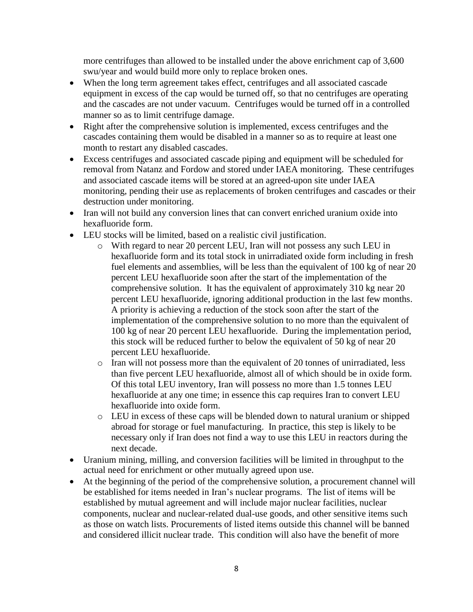more centrifuges than allowed to be installed under the above enrichment cap of 3,600 swu/year and would build more only to replace broken ones.

- When the long term agreement takes effect, centrifuges and all associated cascade equipment in excess of the cap would be turned off, so that no centrifuges are operating and the cascades are not under vacuum. Centrifuges would be turned off in a controlled manner so as to limit centrifuge damage.
- Right after the comprehensive solution is implemented, excess centrifuges and the cascades containing them would be disabled in a manner so as to require at least one month to restart any disabled cascades.
- Excess centrifuges and associated cascade piping and equipment will be scheduled for removal from Natanz and Fordow and stored under IAEA monitoring. These centrifuges and associated cascade items will be stored at an agreed-upon site under IAEA monitoring, pending their use as replacements of broken centrifuges and cascades or their destruction under monitoring.
- Iran will not build any conversion lines that can convert enriched uranium oxide into hexafluoride form.
- LEU stocks will be limited, based on a realistic civil justification.
	- o With regard to near 20 percent LEU, Iran will not possess any such LEU in hexafluoride form and its total stock in unirradiated oxide form including in fresh fuel elements and assemblies, will be less than the equivalent of 100 kg of near 20 percent LEU hexafluoride soon after the start of the implementation of the comprehensive solution. It has the equivalent of approximately 310 kg near 20 percent LEU hexafluoride, ignoring additional production in the last few months. A priority is achieving a reduction of the stock soon after the start of the implementation of the comprehensive solution to no more than the equivalent of 100 kg of near 20 percent LEU hexafluoride. During the implementation period, this stock will be reduced further to below the equivalent of 50 kg of near 20 percent LEU hexafluoride.
	- o Iran will not possess more than the equivalent of 20 tonnes of unirradiated, less than five percent LEU hexafluoride, almost all of which should be in oxide form. Of this total LEU inventory, Iran will possess no more than 1.5 tonnes LEU hexafluoride at any one time; in essence this cap requires Iran to convert LEU hexafluoride into oxide form.
	- o LEU in excess of these caps will be blended down to natural uranium or shipped abroad for storage or fuel manufacturing. In practice, this step is likely to be necessary only if Iran does not find a way to use this LEU in reactors during the next decade.
- Uranium mining, milling, and conversion facilities will be limited in throughput to the actual need for enrichment or other mutually agreed upon use.
- At the beginning of the period of the comprehensive solution, a procurement channel will be established for items needed in Iran's nuclear programs. The list of items will be established by mutual agreement and will include major nuclear facilities, nuclear components, nuclear and nuclear-related dual-use goods, and other sensitive items such as those on watch lists. Procurements of listed items outside this channel will be banned and considered illicit nuclear trade. This condition will also have the benefit of more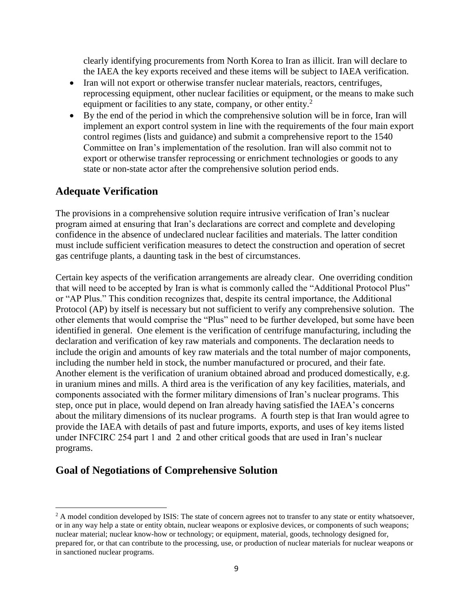clearly identifying procurements from North Korea to Iran as illicit. Iran will declare to the IAEA the key exports received and these items will be subject to IAEA verification.

- Iran will not export or otherwise transfer nuclear materials, reactors, centrifuges, reprocessing equipment, other nuclear facilities or equipment, or the means to make such equipment or facilities to any state, company, or other entity.<sup>2</sup>
- By the end of the period in which the comprehensive solution will be in force, Iran will implement an export control system in line with the requirements of the four main export control regimes (lists and guidance) and submit a comprehensive report to the 1540 Committee on Iran's implementation of the resolution. Iran will also commit not to export or otherwise transfer reprocessing or enrichment technologies or goods to any state or non-state actor after the comprehensive solution period ends.

# **Adequate Verification**

The provisions in a comprehensive solution require intrusive verification of Iran's nuclear program aimed at ensuring that Iran's declarations are correct and complete and developing confidence in the absence of undeclared nuclear facilities and materials. The latter condition must include sufficient verification measures to detect the construction and operation of secret gas centrifuge plants, a daunting task in the best of circumstances.

Certain key aspects of the verification arrangements are already clear. One overriding condition that will need to be accepted by Iran is what is commonly called the "Additional Protocol Plus" or "AP Plus." This condition recognizes that, despite its central importance, the Additional Protocol (AP) by itself is necessary but not sufficient to verify any comprehensive solution. The other elements that would comprise the "Plus" need to be further developed, but some have been identified in general. One element is the verification of centrifuge manufacturing, including the declaration and verification of key raw materials and components. The declaration needs to include the origin and amounts of key raw materials and the total number of major components, including the number held in stock, the number manufactured or procured, and their fate. Another element is the verification of uranium obtained abroad and produced domestically, e.g. in uranium mines and mills. A third area is the verification of any key facilities, materials, and components associated with the former military dimensions of Iran's nuclear programs. This step, once put in place, would depend on Iran already having satisfied the IAEA's concerns about the military dimensions of its nuclear programs. A fourth step is that Iran would agree to provide the IAEA with details of past and future imports, exports, and uses of key items listed under INFCIRC 254 part 1 and 2 and other critical goods that are used in Iran's nuclear programs.

## **Goal of Negotiations of Comprehensive Solution**

 $\overline{a}$  $2 \text{ A model condition developed by ISIS: The state of concern agrees not to transfer to any state or entity whatsoever.}$ or in any way help a state or entity obtain, nuclear weapons or explosive devices, or components of such weapons; nuclear material; nuclear know-how or technology; or equipment, material, goods, technology designed for, prepared for, or that can contribute to the processing, use, or production of nuclear materials for nuclear weapons or in sanctioned nuclear programs.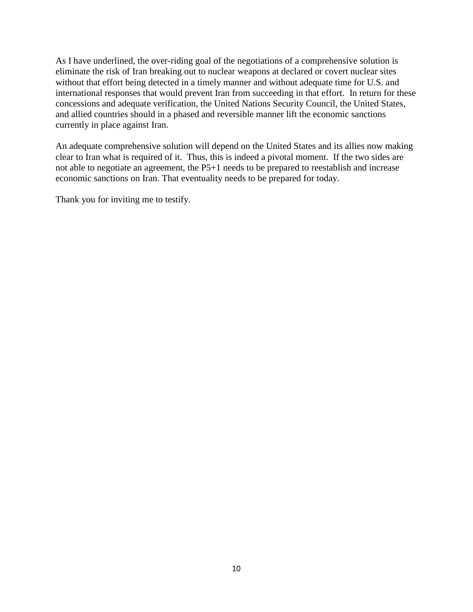As I have underlined, the over-riding goal of the negotiations of a comprehensive solution is eliminate the risk of Iran breaking out to nuclear weapons at declared or covert nuclear sites without that effort being detected in a timely manner and without adequate time for U.S. and international responses that would prevent Iran from succeeding in that effort. In return for these concessions and adequate verification, the United Nations Security Council, the United States, and allied countries should in a phased and reversible manner lift the economic sanctions currently in place against Iran.

An adequate comprehensive solution will depend on the United States and its allies now making clear to Iran what is required of it. Thus, this is indeed a pivotal moment. If the two sides are not able to negotiate an agreement, the P5+1 needs to be prepared to reestablish and increase economic sanctions on Iran. That eventuality needs to be prepared for today.

Thank you for inviting me to testify.